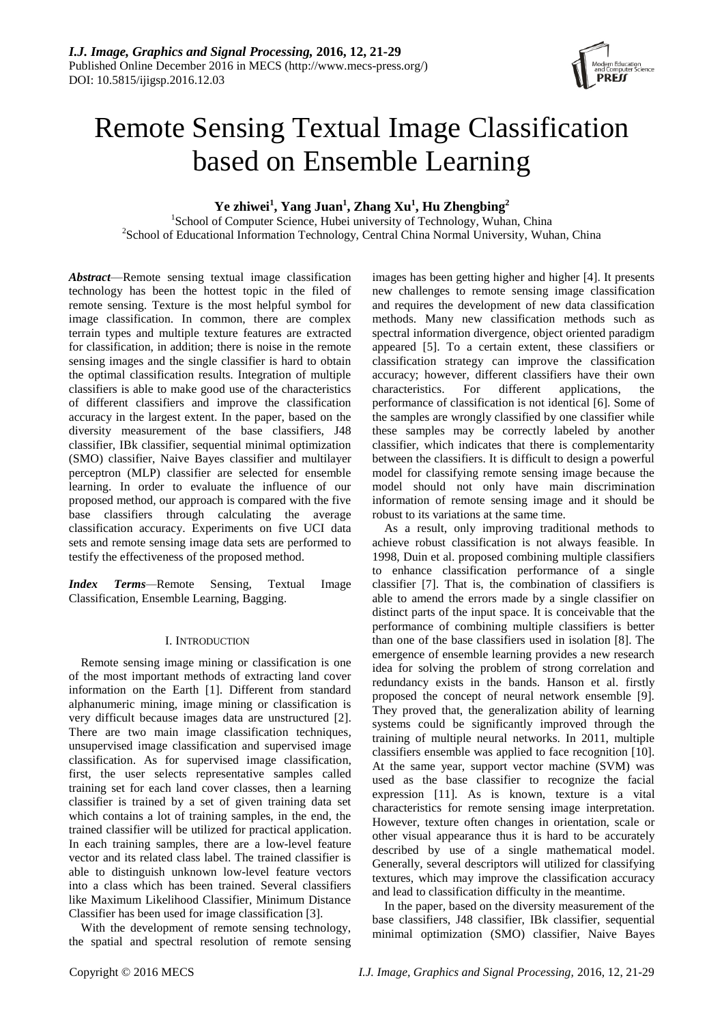

# Remote Sensing Textual Image Classification based on Ensemble Learning

**Ye zhiwei<sup>1</sup> , Yang Juan<sup>1</sup> , Zhang Xu<sup>1</sup> , Hu Zhengbing<sup>2</sup>**

<sup>1</sup>School of Computer Science, Hubei university of Technology, Wuhan, China <sup>2</sup>School of Educational Information Technology, Central China Normal University, Wuhan, China

*Abstract*—Remote sensing textual image classification technology has been the hottest topic in the filed of remote sensing. Texture is the most helpful symbol for image classification. In common, there are complex terrain types and multiple texture features are extracted for classification, in addition; there is noise in the remote sensing images and the single classifier is hard to obtain the optimal classification results. Integration of multiple classifiers is able to make good use of the characteristics of different classifiers and improve the classification accuracy in the largest extent. In the paper, based on the diversity measurement of the base classifiers, J48 classifier, IBk classifier, sequential minimal optimization (SMO) classifier, Naive Bayes classifier and multilayer perceptron (MLP) classifier are selected for ensemble learning. In order to evaluate the influence of our proposed method, our approach is compared with the five base classifiers through calculating the average classification accuracy. Experiments on five UCI data sets and remote sensing image data sets are performed to testify the effectiveness of the proposed method.

*Index Terms—*Remote Sensing, Textual Image Classification, Ensemble Learning, Bagging.

# I. INTRODUCTION

Remote sensing image mining or classification is one of the most important methods of extracting land cover information on the Earth [1]. Different from standard alphanumeric mining, image mining or classification is very difficult because images data are unstructured [2]. There are two main image classification techniques, unsupervised image classification and supervised image classification. As for supervised image classification, first, the user selects representative samples called training set for each land cover classes, then a learning classifier is trained by a set of given training data set which contains a lot of training samples, in the end, the trained classifier will be utilized for practical application. In each training samples, there are a low-level feature vector and its related class label. The trained classifier is able to distinguish unknown low-level feature vectors into a class which has been trained. Several classifiers like Maximum Likelihood Classifier, Minimum Distance Classifier has been used for image classification [3].

With the development of remote sensing technology, the spatial and spectral resolution of remote sensing images has been getting higher and higher [4]. It presents new challenges to remote sensing image classification and requires the development of new data classification methods. Many new classification methods such as spectral information divergence, object oriented paradigm appeared [5]. To a certain extent, these classifiers or classification strategy can improve the classification accuracy; however, different classifiers have their own characteristics. For different applications, the performance of classification is not identical [6]. Some of the samples are wrongly classified by one classifier while these samples may be correctly labeled by another classifier, which indicates that there is complementarity between the classifiers. It is difficult to design a powerful model for classifying remote sensing image because the model should not only have main discrimination information of remote sensing image and it should be robust to its variations at the same time.

As a result, only improving traditional methods to achieve robust classification is not always feasible. In 1998, Duin et al. proposed combining multiple classifiers to enhance classification performance of a single classifier [7]. That is, the combination of classifiers is able to amend the errors made by a single classifier on distinct parts of the input space. It is conceivable that the performance of combining multiple classifiers is better than one of the base classifiers used in isolation [8]. The emergence of ensemble learning provides a new research idea for solving the problem of strong correlation and redundancy exists in the bands. Hanson et al. firstly proposed the concept of neural network ensemble [9]. They proved that, the generalization ability of learning systems could be significantly improved through the training of multiple neural networks. In 2011, multiple classifiers ensemble was applied to face recognition [10]. At the same year, support vector machine (SVM) was used as the base classifier to recognize the facial expression [11]. As is known, texture is a vital characteristics for remote sensing image interpretation. However, texture often changes in orientation, scale or other visual appearance thus it is hard to be accurately described by use of a single mathematical model. Generally, several descriptors will utilized for classifying textures, which may improve the classification accuracy and lead to classification difficulty in the meantime.

In the paper, based on the diversity measurement of the base classifiers, J48 classifier, IBk classifier, sequential minimal optimization (SMO) classifier, Naive Bayes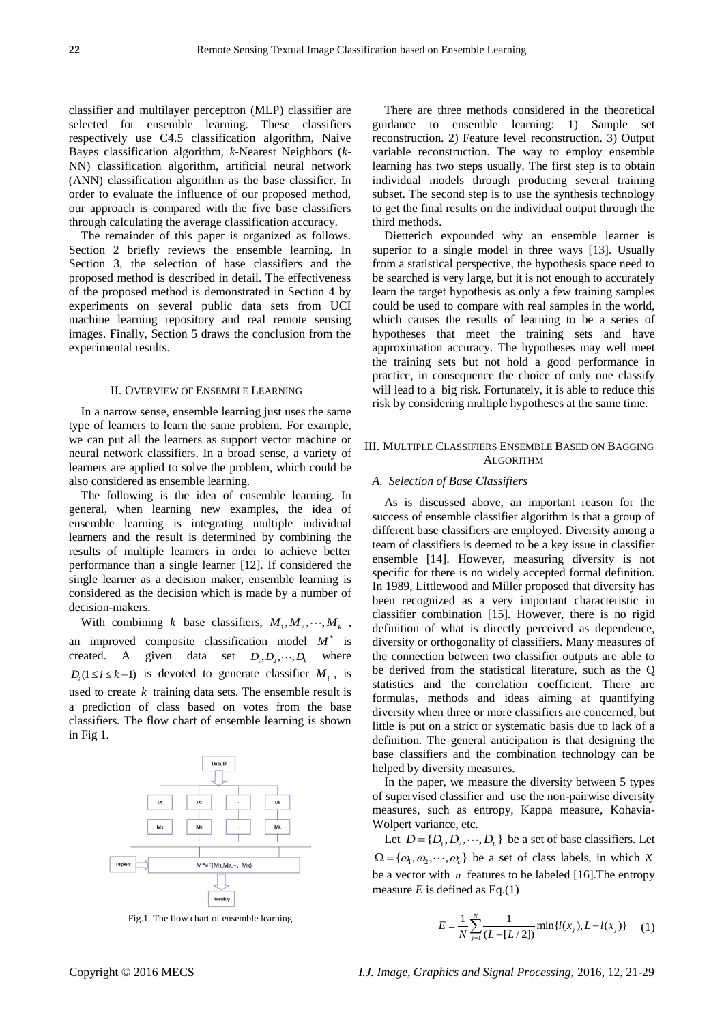classifier and multilayer perceptron (MLP) classifier are selected for ensemble learning. These classifiers respectively use C4.5 classification algorithm, Naive Bayes classification algorithm, *k*-Nearest Neighbors (*k*-NN) classification algorithm, artificial neural network (ANN) classification algorithm as the base classifier. In order to evaluate the influence of our proposed method, our approach is compared with the five base classifiers through calculating the average classification accuracy.

The remainder of this paper is organized as follows. Section 2 briefly reviews the ensemble learning. In Section 3, the selection of base classifiers and the proposed method is described in detail. The effectiveness of the proposed method is demonstrated in Section 4 by experiments on several public data sets from UCI machine learning repository and real remote sensing images. Finally, Section 5 draws the conclusion from the experimental results.

### II. OVERVIEW OF ENSEMBLE LEARNING

In a narrow sense, ensemble learning just uses the same type of learners to learn the same problem. For example, we can put all the learners as support vector machine or neural network classifiers. In a broad sense, a variety of learners are applied to solve the problem, which could be also considered as ensemble learning.

The following is the idea of ensemble learning. In general, when learning new examples, the idea of ensemble learning is integrating multiple individual learners and the result is determined by combining the results of multiple learners in order to achieve better performance than a single learner [12]. If considered the single learner as a decision maker, ensemble learning is considered as the decision which is made by a number of decision-makers.

With combining *k* base classifiers,  $M_1, M_2, \dots, M_k$ , an improved composite classification model  $M^*$  is created. A given data set  $D_1, D_2, \dots, D_k$  where  $D_i (1 \le i \le k-1)$  is devoted to generate classifier  $M_i$ , is used to create  $k$  training data sets. The ensemble result is a prediction of class based on votes from the base classifiers. The flow chart of ensemble learning is shown in Fig 1.



Fig.1. The flow chart of ensemble learning

There are three methods considered in the theoretical guidance to ensemble learning: 1) Sample set reconstruction. 2) Feature level reconstruction. 3) Output variable reconstruction. The way to employ ensemble learning has two steps usually. The first step is to obtain individual models through producing several training subset. The second step is to use the synthesis technology to get the final results on the individual output through the third methods.

Dietterich expounded why an ensemble learner is superior to a single model in three ways [13]. Usually from a statistical perspective, the hypothesis space need to be searched is very large, but it is not enough to accurately learn the target hypothesis as only a few training samples could be used to compare with real samples in the world, which causes the results of learning to be a series of hypotheses that meet the training sets and have approximation accuracy. The hypotheses may well meet the training sets but not hold a good performance in practice, in consequence the choice of only one classify will lead to a big risk. Fortunately, it is able to reduce this risk by considering multiple hypotheses at the same time.

# III. MULTIPLE CLASSIFIERS ENSEMBLE BASED ON BAGGING ALGORITHM

# *A. Selection of Base Classifiers*

As is discussed above, an important reason for the success of ensemble classifier algorithm is that a group of different base classifiers are employed. Diversity among a team of classifiers is deemed to be a key issue in classifier ensemble [14]. However, measuring diversity is not specific for there is no widely accepted formal definition. In 1989, Littlewood and Miller proposed that diversity has been recognized as a very important characteristic in classifier combination [15]. However, there is no rigid definition of what is directly perceived as dependence, diversity or orthogonality of classifiers. Many measures of the connection between two classifier outputs are able to be derived from the statistical literature, such as the Q statistics and the correlation coefficient. There are formulas, methods and ideas aiming at quantifying diversity when three or more classifiers are concerned, but little is put on a strict or systematic basis due to lack of a definition. The general anticipation is that designing the base classifiers and the combination technology can be helped by diversity measures.

In the paper, we measure the diversity between 5 types of supervised classifier and use the non-pairwise diversity measures, such as entropy, Kappa measure, Kohavia-Wolpert variance, etc.

Let  $D = \{D_1, D_2, \dots, D_L\}$  be a set of base classifiers. Let  $\Omega = {\omega_1, \omega_2, \cdots, \omega_c}$  be a set of class labels, in which x be a vector with *n* features to be labeled [16].The entropy measure  $E$  is defined as Eq.(1)

$$
E = \frac{1}{N} \sum_{j=1}^{N} \frac{1}{(L - [L/2])} \min\{l(x_j), L - l(x_j)\} \tag{1}
$$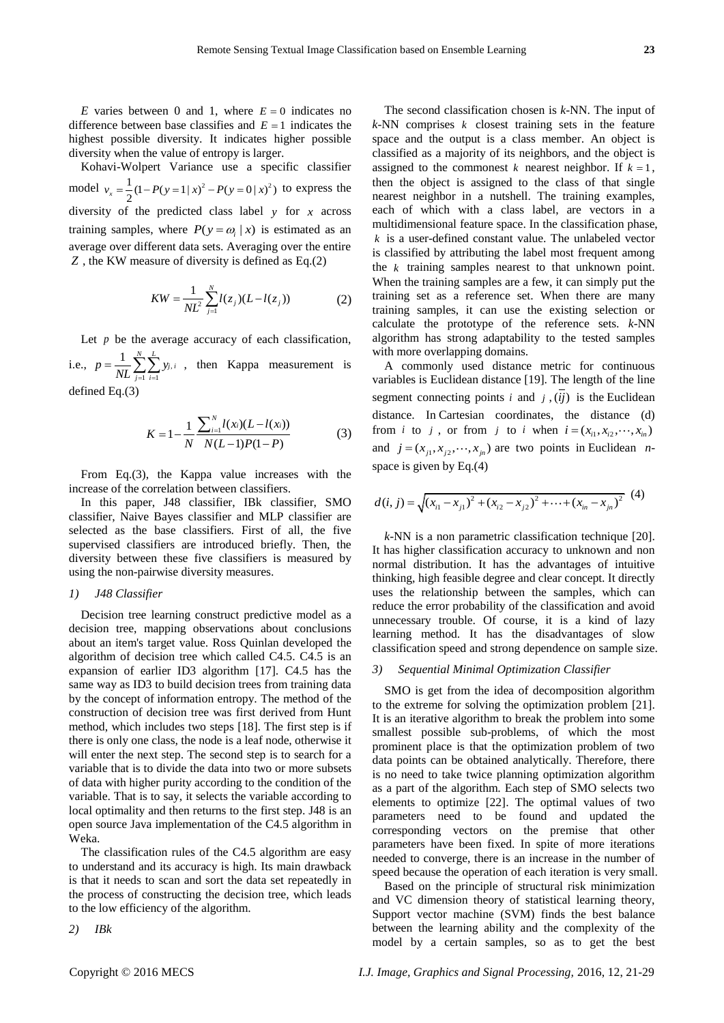E varies between 0 and 1, where  $E = 0$  indicates no difference between base classifies and  $E = 1$  indicates the highest possible diversity. It indicates higher possible diversity when the value of entropy is larger.

Kohavi-Wolpert Variance use a specific classifier model  $v_x = \frac{1}{2}(1 - P(y = 1 | x)^2 - P(y = 0 | x)^2)$  to express the diversity of the predicted class label *y* for *x* across training samples, where  $P(y = \omega_i | x)$  is estimated as an average over different data sets. Averaging over the entire *Z* , the KW measure of diversity is defined as Eq.(2)

$$
KW = \frac{1}{NL^2} \sum_{j=1}^{N} l(z_j)(L - l(z_j))
$$
 (2)

Let  $p$  be the average accuracy of each classification, i.e.,  $p = \frac{1}{\sqrt{2}}$   $\sum y_i$ ,  $-1$   $i=1$  $1 \sqrt{N}$ *j i j i*  $p = \frac{1}{2H} \sum y$  $=\frac{1}{NL}\sum_{j=1}\sum_{i=1}^{N}y_{j,i}$ , then Kappa measurement is

defined Eq.(3)

$$
K = 1 - \frac{1}{N} \frac{\sum_{i=1}^{N} l(x_i)(L - l(x_i))}{N(L - 1)P(1 - P)}
$$
(3)

From Eq.(3), the Kappa value increases with the increase of the correlation between classifiers.

In this paper, J48 classifier, IBk classifier, SMO classifier, Naive Bayes classifier and MLP classifier are selected as the base classifiers. First of all, the five supervised classifiers are introduced briefly. Then, the diversity between these five classifiers is measured by using the non-pairwise diversity measures.

# *1) J48 Classifier*

Decision tree learning construct predictive model as a decision tree, mapping observations about conclusions about an item's target value. Ross Quinlan developed the algorithm of decision tree which called C4.5. C4.5 is an expansion of earlier ID3 algorithm [17]. C4.5 has the same way as ID3 to build decision trees from training data by the concept of information entropy. The method of the construction of decision tree was first derived from Hunt method, which includes two steps [18]. The first step is if there is only one class, the node is a leaf node, otherwise it will enter the next step. The second step is to search for a variable that is to divide the data into two or more subsets of data with higher purity according to the condition of the variable. That is to say, it selects the variable according to local optimality and then returns to the first step. J48 is an open source Java implementation of the C4.5 algorithm in Weka.

The classification rules of the C4.5 algorithm are easy to understand and its accuracy is high. Its main drawback is that it needs to scan and sort the data set repeatedly in the process of constructing the decision tree, which leads to the low efficiency of the algorithm.

*2) IBk*

The second classification chosen is *k*-NN. The input of  $k$ -NN comprises  $k$  closest training sets in the feature space and the output is a class member. An object is classified as a majority of its neighbors, and the object is assigned to the commonest  $k$  nearest neighbor. If  $k = 1$ , then the object is assigned to the class of that single nearest neighbor in a nutshell. The training examples, each of which with a class label, are vectors in a multidimensional feature space. In the classification phase, *k* is a user-defined constant value. The unlabeled vector is classified by attributing the label most frequent among the *k* training samples nearest to that unknown point. When the training samples are a few, it can simply put the training set as a reference set. When there are many training samples, it can use the existing selection or calculate the prototype of the reference sets. *k*-NN algorithm has strong adaptability to the tested samples with more overlapping domains.

A commonly used distance metric for continuous variables is Euclidean distance [19]. The length of the line segment connecting points  $i$  and  $j$ ,  $(ij)$  is the Euclidean distance. In Cartesian coordinates, the distance (d) from *i* to *j*, or from *j* to *i* when  $i = (x_{i1}, x_{i2}, \dots, x_{in})$ and  $j = (x_{j1}, x_{j2}, \dots, x_{jn})$  are two points in Euclidean *n*space is given by Eq.(4)

$$
d(i, j) = \sqrt{(x_{i1} - x_{j1})^2 + (x_{i2} - x_{j2})^2 + \dots + (x_{in} - x_{jn})^2}
$$
 (4)

*k*-NN is a non parametric classification technique [20]. It has higher classification accuracy to unknown and non normal distribution. It has the advantages of intuitive thinking, high feasible degree and clear concept. It directly uses the relationship between the samples, which can reduce the error probability of the classification and avoid unnecessary trouble. Of course, it is a kind of lazy learning method. It has the disadvantages of slow classification speed and strong dependence on sample size.

## *3) Sequential Minimal Optimization Classifier*

SMO is get from the idea of decomposition algorithm to the extreme for solving the optimization problem [21]. It is an iterative algorithm to break the problem into some smallest possible sub-problems, of which the most prominent place is that the optimization problem of two data points can be obtained analytically. Therefore, there is no need to take twice planning optimization algorithm as a part of the algorithm. Each step of SMO selects two elements to optimize [22]. The optimal values of two parameters need to be found and updated the corresponding vectors on the premise that other parameters have been fixed. In spite of more iterations needed to converge, there is an increase in the number of speed because the operation of each iteration is very small.

Based on the principle of structural risk minimization and VC dimension theory of statistical learning theory, Support vector machine (SVM) finds the best balance between the learning ability and the complexity of the model by a certain samples, so as to get the best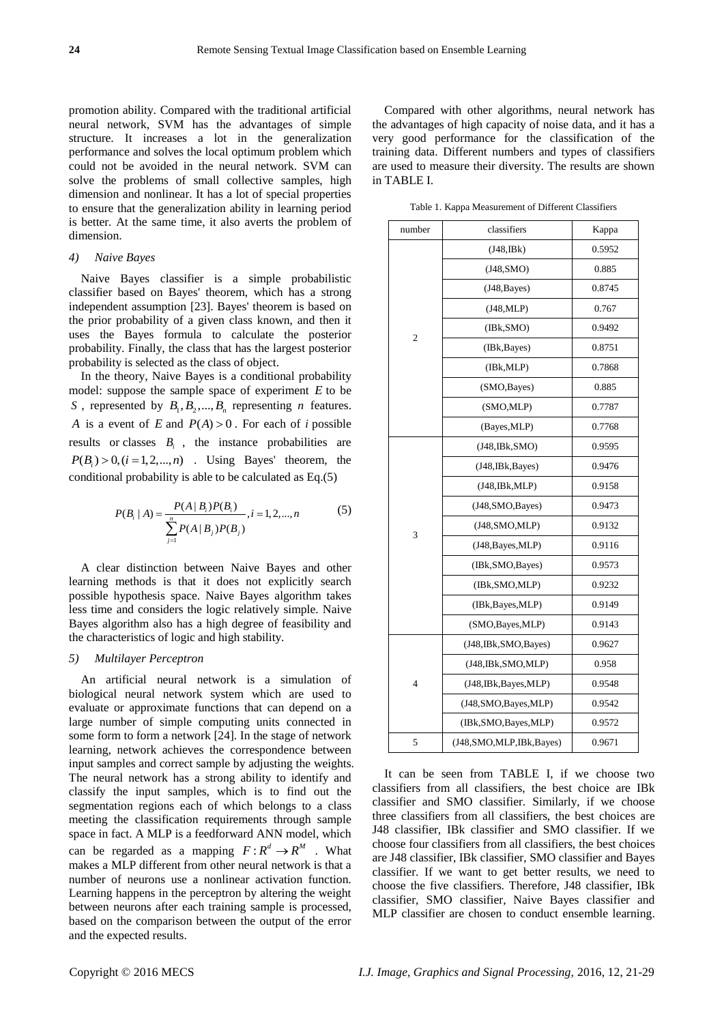promotion ability. Compared with the traditional artificial neural network, SVM has the advantages of simple structure. It increases a lot in the generalization performance and solves the local optimum problem which could not be avoided in the neural network. SVM can solve the problems of small collective samples, high dimension and nonlinear. It has a lot of special properties to ensure that the generalization ability in learning period is better. At the same time, it also averts the problem of dimension.

# *4) Naive Bayes*

Naive Bayes classifier is a simple probabilistic classifier based on Bayes' theorem, which has a strong independent assumption [23]. Bayes' theorem is based on the prior probability of a given class known, and then it uses the Bayes formula to calculate the posterior probability. Finally, the class that has the largest posterior probability is selected as the class of object.

In the theory, Naive Bayes is a conditional probability model: suppose the sample space of experiment *E* to be *S*, represented by  $B_1, B_2, ..., B_n$  representing *n* features. *A* is a event of *E* and  $P(A) > 0$ . For each of *i* possible results or classes  $B_i$ , the instance probabilities are  $P(B_i) > 0, (i = 1,2,...,n)$  . Using Bayes' theorem, the conditional probability is able to be calculated as Eq.(5)

$$
P(B_i | A) = \frac{P(A | B_i)P(B_i)}{\sum_{j=1}^{n} P(A | B_j)P(B_j)}, i = 1, 2, ..., n
$$
 (5)

A clear distinction between Naive Bayes and other learning methods is that it does not explicitly search possible hypothesis space. Naive Bayes algorithm takes less time and considers the logic relatively simple. Naive Bayes algorithm also has a high degree of feasibility and the characteristics of logic and high stability.

## *5) Multilayer Perceptron*

An artificial neural network is a simulation of biological neural network system which are used to evaluate or approximate functions that can depend on a large number of simple computing units connected in some form to form a network [24]. In the stage of network learning, network achieves the correspondence between input samples and correct sample by adjusting the weights. The neural network has a strong ability to identify and classify the input samples, which is to find out the segmentation regions each of which belongs to a class meeting the classification requirements through sample space in fact. A MLP is a feedforward ANN model, which can be regarded as a mapping  $F: \mathbb{R}^d \to \mathbb{R}^M$ . What makes a MLP different from other neural network is that a number of neurons use a nonlinear activation function. Learning happens in the perceptron by altering the weight between neurons after each training sample is processed, based on the comparison between the output of the error and the expected results.

Compared with other algorithms, neural network has the advantages of high capacity of noise data, and it has a very good performance for the classification of the training data. Different numbers and types of classifiers are used to measure their diversity. The results are shown in TABLE I.

Table 1. Kappa Measurement of Different Classifiers

| number         | classifiers             |        |  |
|----------------|-------------------------|--------|--|
|                | $(J48,\mathrm{IBk})$    | 0.5952 |  |
|                | (J48, SMO)              | 0.885  |  |
|                | (J48, Bayes)            | 0.8745 |  |
|                | (J48, MLP)              | 0.767  |  |
| $\overline{c}$ | (IBk, SMO)              | 0.9492 |  |
|                | (IBk, Bayes)            | 0.8751 |  |
|                | (IBk, MLP)              | 0.7868 |  |
|                | (SMO, Bayes)            | 0.885  |  |
|                | (SMO,MLP)               | 0.7787 |  |
|                | (Bayes, MLP)            | 0.7768 |  |
|                | (J48, IBk, SMO)         | 0.9595 |  |
|                | (J48, IBk, Bayes)       | 0.9476 |  |
|                | (J48, IBk, MLP)         | 0.9158 |  |
|                | (J48,SMO,Bayes)         | 0.9473 |  |
|                | (J48, SMO, MLP)         | 0.9132 |  |
| 3              | (J48, Bayes, MLP)       | 0.9116 |  |
|                | (IBk, SMO, Bayes)       | 0.9573 |  |
|                | (IBk, SMO, MLP)         | 0.9232 |  |
|                | (IBk, Bayes, MLP)       | 0.9149 |  |
|                | (SMO, Bayes, MLP)       | 0.9143 |  |
| $\overline{4}$ | (J48, IBk, SMO, Bayes)  | 0.9627 |  |
|                | (J48, IBk, SMO, MLP)    | 0.958  |  |
|                | (J48, IBk, Bayes, MLP)  | 0.9548 |  |
|                | (J48,SMO,Bayes,MLP)     | 0.9542 |  |
|                | (IBk, SMO, Bayes, MLP)  | 0.9572 |  |
| 5              | (J48,SMO,MLP,IBk,Bayes) | 0.9671 |  |

It can be seen from TABLE I, if we choose two classifiers from all classifiers, the best choice are IBk classifier and SMO classifier. Similarly, if we choose three classifiers from all classifiers, the best choices are J48 classifier, IBk classifier and SMO classifier. If we choose four classifiers from all classifiers, the best choices are J48 classifier, IBk classifier, SMO classifier and Bayes classifier. If we want to get better results, we need to choose the five classifiers. Therefore, J48 classifier, IBk classifier, SMO classifier, Naive Bayes classifier and MLP classifier are chosen to conduct ensemble learning.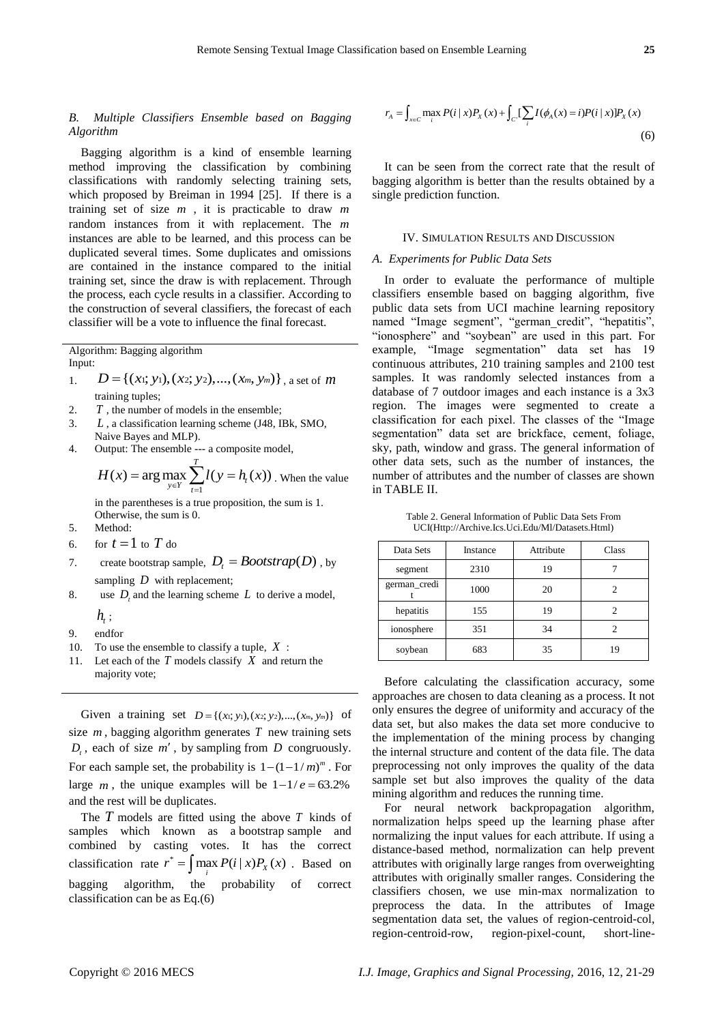# *B. Multiple Classifiers Ensemble based on Bagging Algorithm*

Bagging algorithm is a kind of ensemble learning method improving the classification by combining classifications with randomly selecting training sets, which proposed by Breiman in 1994 [25]. If there is a training set of size *m* , it is practicable to draw *m* random instances from it with replacement. The *m* instances are able to be learned, and this process can be duplicated several times. Some duplicates and omissions are contained in the instance compared to the initial training set, since the draw is with replacement. Through the process, each cycle results in a classifier. According to the construction of several classifiers, the forecast of each classifier will be a vote to influence the final forecast.

Algorithm: Bagging algorithm Input:

- 1.  $D = \{ (x_1; y_1), (x_2; y_2), ..., (x_m, y_m) \}$ , a set of  $m$ training tuples;
- 2. *T* , the number of models in the ensemble;
- 3. *L* , a classification learning scheme (J48, IBk, SMO, Naive Bayes and MLP).
- 4. Output: The ensemble --- a composite model,

$$
H(x) = \arg \max_{y \in Y} \sum_{t=1}^{T} l(y = h_{t}(x))
$$
. When the value

in the parentheses is a true proposition, the sum is 1. Otherwise, the sum is 0.

- 5. Method:
- 6. for  $t = 1$  to  $T$  do
- 7. create bootstrap sample,  $D_t = \text{Boosttrap}(D)$ , by sampling *D* with replacement;
- 8. use  $D_t$  and the learning scheme  $L$  to derive a model,
	- $h_{\!\scriptscriptstyle 1}^{}$  ;
- 9. endfor
- 10. To use the ensemble to classify a tuple, *X* :
- 11. Let each of the  $T$  models classify  $X$  and return the majority vote;

Given a [training](https://en.wikipedia.org/wiki/Training_set) set  $D = \{(x, y, y), (x, y, y), ..., (x_m, y_m)\}$  of size  $m$ , bagging algorithm generates  $T$  new training sets  $D_t$ , each of size  $m'$ , by sampling from  $D$  congruously. For each sample set, the probability is  $1 - (1 - 1/m)^m$ . For large *m*, the unique examples will be  $1 - 1/e = 63.2\%$ and the rest will be duplicates.

The *T* models are fitted using the above *T* kinds of samples which known as a bootstrap sample and combined by casting votes. It has the correct classification rate  $r^* = \int \max_i P(i | x) P_x(x)$ . Based on bagging algorithm, the probability of correct classification can be as Eq.(6)

$$
r_{A} = \int_{x \in C} \max_{i} P(i | x) P_{X}(x) + \int_{C'} [\sum_{i} I(\phi_{A}(x) = i) P(i | x)] P_{X}(x)
$$
\n(6)

It can be seen from the correct rate that the result of bagging algorithm is better than the results obtained by a single prediction function.

#### IV. SIMULATION RESULTS AND DISCUSSION

# *A. Experiments for Public Data Sets*

In order to evaluate the performance of multiple classifiers ensemble based on bagging algorithm, five public data sets from UCI machine learning repository named "Image segment", "german\_credit", "hepatitis", "ionosphere" and "soybean" are used in this part. For example, "Image segmentation" data set has 19 continuous attributes, 210 training samples and 2100 test samples. It was randomly selected instances from a database of 7 outdoor images and each instance is a 3x3 region. The images were segmented to create a classification for each pixel. The classes of the "Image segmentation" data set are brickface, cement, foliage, sky, path, window and grass. The general information of other data sets, such as the number of instances, the number of attributes and the number of classes are shown in TABLE II.

Table 2. General Information of Public Data Sets From UCI(Http://Archive.Ics.Uci.Edu/Ml/Datasets.Html)

| Data Sets    | Instance | Attribute | Class |
|--------------|----------|-----------|-------|
| segment      | 2310     | 19        |       |
| german_credi | 1000     | 20        |       |
| hepatitis    | 155      | 19        |       |
| ionosphere   | 351      | 34        |       |
| soybean      | 683      | 35        | 19    |

Before calculating the classification accuracy, some approaches are chosen to data cleaning as a process. It not only ensures the degree of uniformity and accuracy of the data set, but also makes the data set more conducive to the implementation of the mining process by changing the internal structure and content of the data file. The data preprocessing not only improves the quality of the data sample set but also improves the quality of the data mining algorithm and reduces the running time.

For neural network backpropagation algorithm, normalization helps speed up the learning phase after normalizing the input values for each attribute. If using a distance-based method, normalization can help prevent attributes with originally large ranges from overweighting attributes with originally smaller ranges. Considering the classifiers chosen, we use min-max normalization to preprocess the data. In the attributes of Image segmentation data set, the values of region-centroid-col, region-centroid-row, region-pixel-count, short-line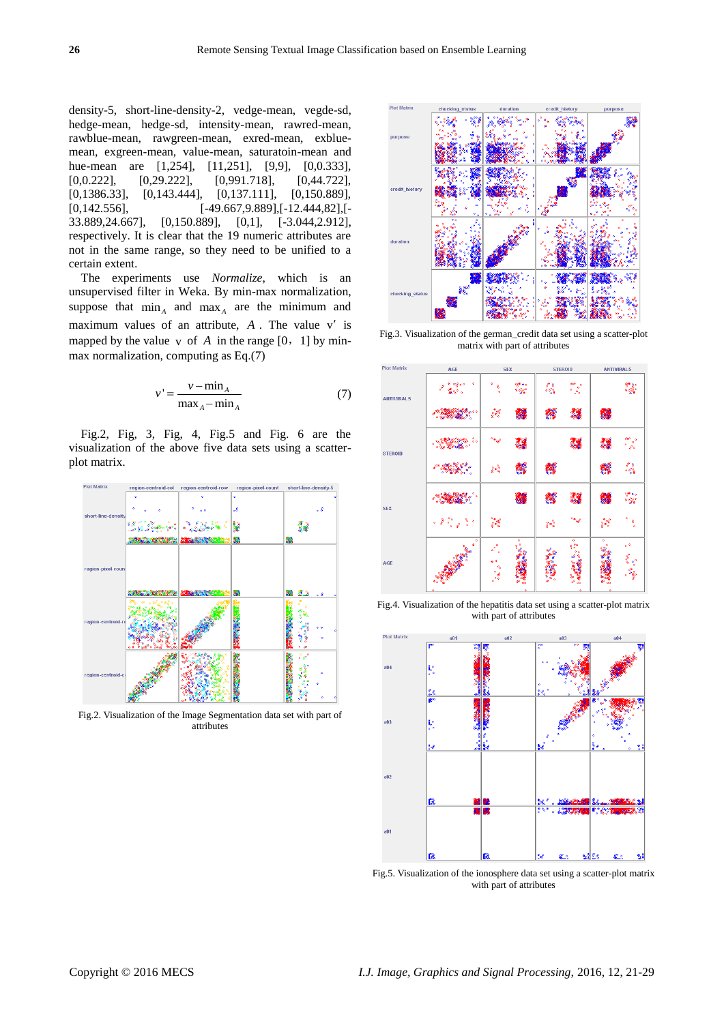density-5, short-line-density-2, vedge-mean, vegde-sd, hedge-mean, hedge-sd, intensity-mean, rawred-mean, rawblue-mean, rawgreen-mean, exred-mean, exbluemean, exgreen-mean, value-mean, saturatoin-mean and hue-mean are [1,254], [11,251], [9,9], [0,0.333], [0,0.222], [0,29.222], [0,991.718], [0,44.722], [0,1386.33], [0,143.444], [0,137.111], [0,150.889],  $[0,142.556]$ ,  $[-49.667,9.889]$ ,  $[-12.444,82]$ ,  $[-12.444]$ 33.889,24.667], [0,150.889], [0,1], [-3.044,2.912], respectively. It is clear that the 19 numeric attributes are not in the same range, so they need to be unified to a certain extent.

The experiments use *Normalize*, which is an unsupervised filter in Weka. By min-max normalization, suppose that  $\min_A$  and  $\max_A$  are the minimum and maximum values of an attribute,  $A$ . The value  $v'$  is mapped by the value  $\upsilon$  of A in the range  $[0, 1]$  by minmax normalization, computing as Eq.(7)

$$
v' = \frac{v - \min_{A}}{\max_{A} - \min_{A}} \tag{7}
$$

Fig.2, Fig, 3, Fig, 4, Fig.5 and Fig. 6 are the visualization of the above five data sets using a scatterplot matrix.



Fig.2. Visualization of the Image Segmentation data set with part of attributes



Fig.3. Visualization of the german\_credit data set using a scatter-plot matrix with part of attributes



Fig.4. Visualization of the hepatitis data set using a scatter-plot matrix with part of attributes



Fig.5. Visualization of the ionosphere data set using a scatter-plot matrix with part of attributes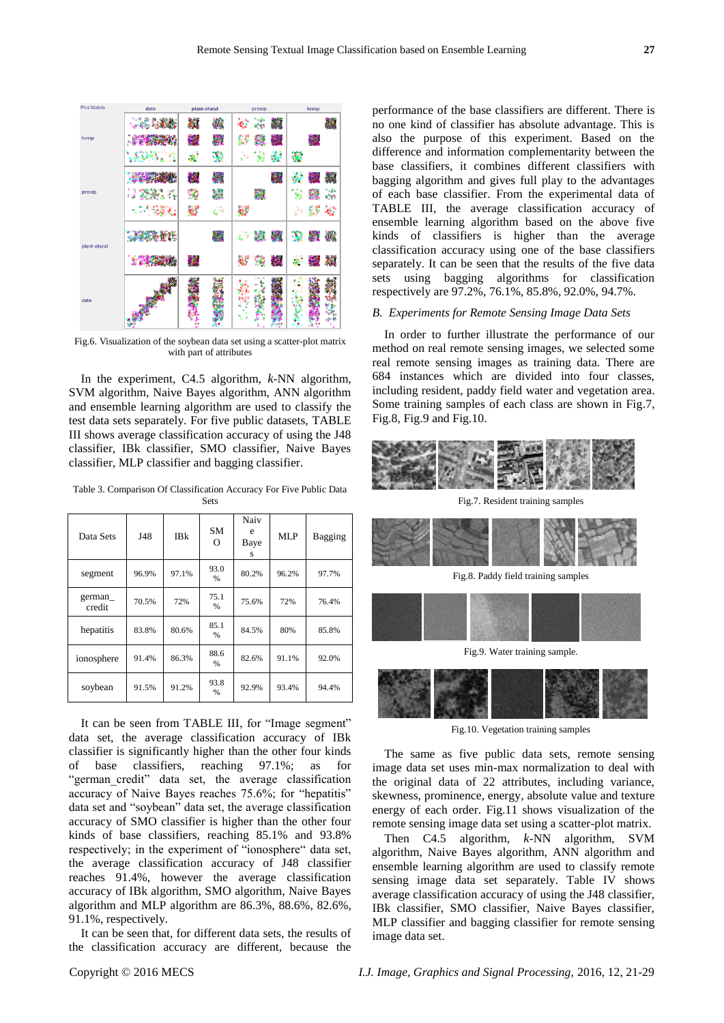

Fig.6. Visualization of the soybean data set using a scatter-plot matrix with part of attributes

In the experiment, C4.5 algorithm, *k*-NN algorithm, SVM algorithm, Naive Bayes algorithm, ANN algorithm and ensemble learning algorithm are used to classify the test data sets separately. For five public datasets, TABLE III shows average classification accuracy of using the J48 classifier, IBk classifier, SMO classifier, Naive Bayes classifier, MLP classifier and bagging classifier.

Table 3. Comparison Of Classification Accuracy For Five Public Data Sets

| Data Sets        | J48   | <b>IBk</b> | <b>SM</b><br>$\Omega$ | Naiv<br>e<br>Baye<br>s | MLP   | <b>Bagging</b> |
|------------------|-------|------------|-----------------------|------------------------|-------|----------------|
| segment          | 96.9% | 97.1%      | 93.0<br>$\frac{0}{0}$ | 80.2%                  | 96.2% | 97.7%          |
| german<br>credit | 70.5% | 72%        | 75.1<br>$\%$          | 75.6%                  | 72%   | 76.4%          |
| hepatitis        | 83.8% | 80.6%      | 85.1<br>$\frac{0}{0}$ | 84.5%                  | 80%   | 85.8%          |
| ionosphere       | 91.4% | 86.3%      | 88.6<br>%             | 82.6%                  | 91.1% | 92.0%          |
| soybean          | 91.5% | 91.2%      | 93.8<br>%             | 92.9%                  | 93.4% | 94.4%          |

It can be seen from TABLE III, for "Image segment" data set, the average classification accuracy of IBk classifier is significantly higher than the other four kinds of base classifiers, reaching 97.1%; as for "german credit" data set, the average classification accuracy of Naive Bayes reaches 75.6%; for "hepatitis" data set and "soybean" data set, the average classification accuracy of SMO classifier is higher than the other four kinds of base classifiers, reaching 85.1% and 93.8% respectively; in the experiment of "ionosphere" data set, the average classification accuracy of J48 classifier reaches 91.4%, however the average classification accuracy of IBk algorithm, SMO algorithm, Naive Bayes algorithm and MLP algorithm are 86.3%, 88.6%, 82.6%, 91.1%, respectively.

It can be seen that, for different data sets, the results of the classification accuracy are different, because the

performance of the base classifiers are different. There is no one kind of classifier has absolute advantage. This is also the purpose of this experiment. Based on the difference and information complementarity between the base classifiers, it combines different classifiers with bagging algorithm and gives full play to the advantages of each base classifier. From the experimental data of TABLE III, the average classification accuracy of ensemble learning algorithm based on the above five kinds of classifiers is higher than the average classification accuracy using one of the base classifiers separately. It can be seen that the results of the five data sets using bagging algorithms for classification respectively are 97.2%, 76.1%, 85.8%, 92.0%, 94.7%.

# *B. Experiments for Remote Sensing Image Data Sets*

In order to further illustrate the performance of our method on real remote sensing images, we selected some real remote sensing images as training data. There are 684 instances which are divided into four classes, including resident, paddy field water and vegetation area. Some training samples of each class are shown in Fig.7, Fig.8, Fig.9 and Fig.10.



Fig.7. Resident training samples



Fig.8. Paddy field training samples



Fig.9. Water training sample.



Fig.10. Vegetation training samples

The same as five public data sets, remote sensing image data set uses min-max normalization to deal with the original data of 22 attributes, including variance, skewness, prominence, energy, absolute value and texture energy of each order. Fig.11 shows visualization of the remote sensing image data set using a scatter-plot matrix.

Then C4.5 algorithm, *k*-NN algorithm, SVM algorithm, Naive Bayes algorithm, ANN algorithm and ensemble learning algorithm are used to classify remote sensing image data set separately. Table IV shows average classification accuracy of using the J48 classifier, IBk classifier, SMO classifier, Naive Bayes classifier, MLP classifier and bagging classifier for remote sensing image data set.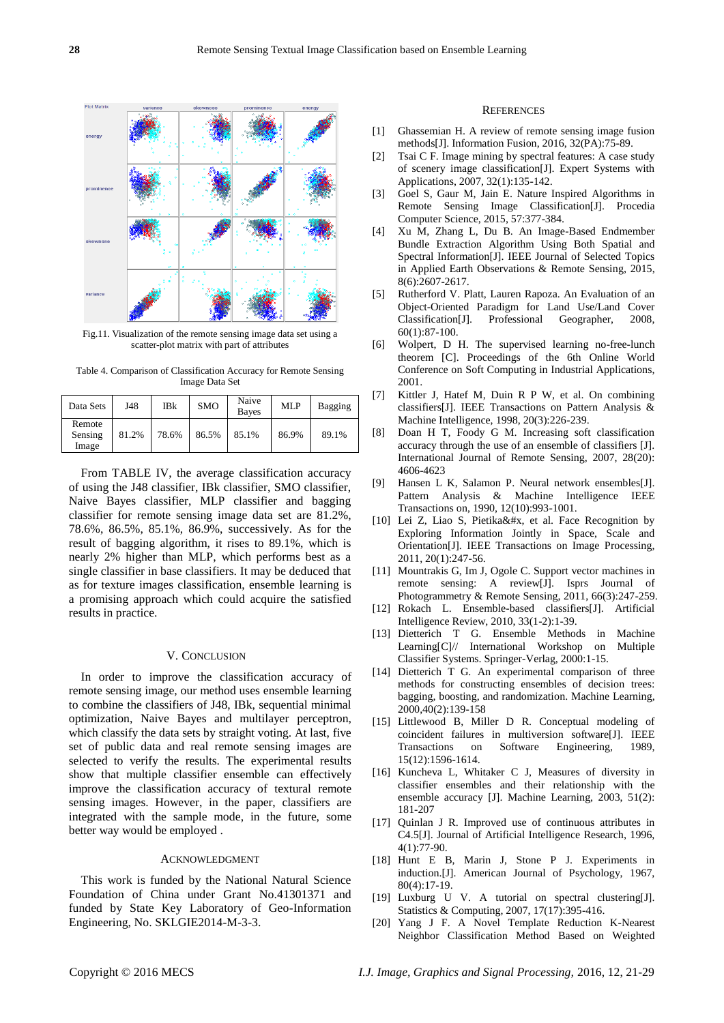

Fig.11. Visualization of the remote sensing image data set using a scatter-plot matrix with part of attributes

Table 4. Comparison of Classification Accuracy for Remote Sensing Image Data Set

| Data Sets                  | J48   | IBk   | <b>SMO</b> | Naive<br><b>Baves</b> | MLP   | <b>Bagging</b> |
|----------------------------|-------|-------|------------|-----------------------|-------|----------------|
| Remote<br>Sensing<br>Image | 81.2% | 78.6% | 86.5%      | 85.1%                 | 86.9% | 89.1%          |

From TABLE IV, the average classification accuracy of using the J48 classifier, IBk classifier, SMO classifier, Naive Bayes classifier, MLP classifier and bagging classifier for remote sensing image data set are 81.2%, 78.6%, 86.5%, 85.1%, 86.9%, successively. As for the result of bagging algorithm, it rises to 89.1%, which is nearly 2% higher than MLP, which performs best as a single classifier in base classifiers. It may be deduced that as for texture images classification, ensemble learning is a promising approach which could acquire the satisfied results in practice.

## V. CONCLUSION

In order to improve the classification accuracy of remote sensing image, our method uses ensemble learning to combine the classifiers of J48, IBk, sequential minimal optimization, Naive Bayes and multilayer perceptron, which classify the data sets by straight voting. At last, five set of public data and real remote sensing images are selected to verify the results. The experimental results show that multiple classifier ensemble can effectively improve the classification accuracy of textural remote sensing images. However, in the paper, classifiers are integrated with the sample mode, in the future, some better way would be employed .

## ACKNOWLEDGMENT

This work is funded by the National Natural Science Foundation of China under Grant No.41301371 and funded by State Key Laboratory of Geo-Information Engineering, No. SKLGIE2014-M-3-3.

#### **REFERENCES**

- [1] Ghassemian H. A review of remote sensing image fusion methods[J]. Information Fusion, 2016, 32(PA):75-89.
- [2] Tsai C F. Image mining by spectral features: A case study of scenery image classification[J]. Expert Systems with Applications, 2007, 32(1):135-142.
- [3] Goel S, Gaur M, Jain E. Nature Inspired Algorithms in Remote Sensing Image Classification[J]. Procedia Computer Science, 2015, 57:377-384.
- [4] Xu M, Zhang L, Du B. An Image-Based Endmember Bundle Extraction Algorithm Using Both Spatial and Spectral Information[J]. IEEE Journal of Selected Topics in Applied Earth Observations & Remote Sensing, 2015, 8(6):2607-2617.
- [5] Rutherford V. Platt, Lauren Rapoza. An Evaluation of an Object-Oriented Paradigm for Land Use/Land Cover Classification[J]. Professional Geographer, 2008, 60(1):87-100.
- [6] Wolpert, D H. The supervised learning no-free-lunch theorem [C]. Proceedings of the 6th Online World Conference on Soft Computing in Industrial Applications, 2001.
- [7] Kittler J, Hatef M, Duin R P W, et al. On combining classifiers[J]. IEEE Transactions on Pattern Analysis & Machine Intelligence, 1998, 20(3):226-239.
- [8] Doan H T, Foody G M. Increasing soft classification accuracy through the use of an ensemble of classifiers [J]. International Journal of Remote Sensing, 2007, 28(20): 4606-4623
- [9] Hansen L K, Salamon P. Neural network ensembles[J]. Pattern Analysis & Machine Intelligence IEEE Transactions on, 1990, 12(10):993-1001.
- [10] Lei Z, Liao S, Pietika&#x, et al. Face Recognition by Exploring Information Jointly in Space, Scale and Orientation[J]. IEEE Transactions on Image Processing, 2011, 20(1):247-56.
- [11] Mountrakis G, Im J, Ogole C. Support vector machines in remote sensing: A review[J]. Isprs Journal of Photogrammetry & Remote Sensing, 2011, 66(3):247-259.
- [12] Rokach L. Ensemble-based classifiers[J]. Artificial Intelligence Review, 2010, 33(1-2):1-39.
- [13] Dietterich T G. Ensemble Methods in Machine Learning[C]// International Workshop on Multiple Classifier Systems. Springer-Verlag, 2000:1-15.
- [14] Dietterich T G. An experimental comparison of three methods for constructing ensembles of decision trees: bagging, boosting, and randomization. Machine Learning, 2000,40(2):139-158
- [15] Littlewood B, Miller D R. Conceptual modeling of coincident failures in multiversion software[J]. IEEE Transactions on Software Engineering, 1989, 15(12):1596-1614.
- [16] Kuncheva L, Whitaker C J, Measures of diversity in classifier ensembles and their relationship with the ensemble accuracy [J]. Machine Learning, 2003, 51(2): 181-207
- [17] Quinlan J R. Improved use of continuous attributes in C4.5[J]. Journal of Artificial Intelligence Research, 1996, 4(1):77-90.
- [18] Hunt E B, Marin J, Stone P J. Experiments in induction.[J]. American Journal of Psychology, 1967, 80(4):17-19.
- [19] Luxburg U V. A tutorial on spectral clustering[J]. Statistics & Computing, 2007, 17(17):395-416.
- [20] Yang J F. A Novel Template Reduction K-Nearest Neighbor Classification Method Based on Weighted